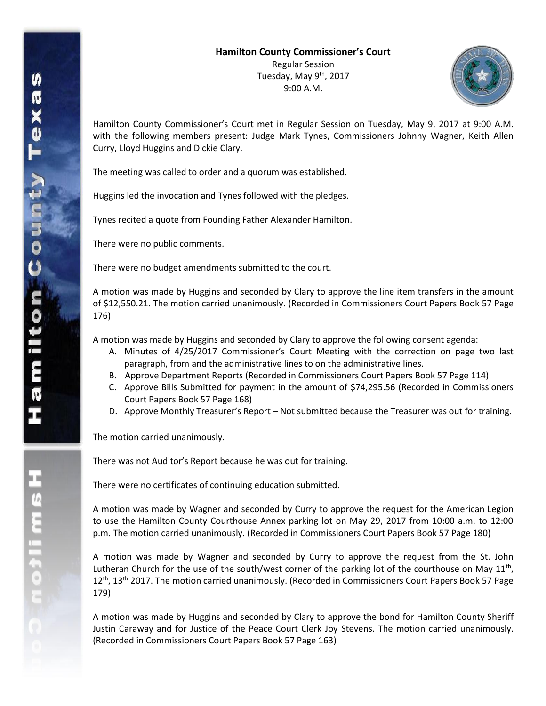

Hamilton County Commissioner's Court met in Regular Session on Tuesday, May 9, 2017 at 9:00 A.M. with the following members present: Judge Mark Tynes, Commissioners Johnny Wagner, Keith Allen Curry, Lloyd Huggins and Dickie Clary.

The meeting was called to order and a quorum was established.

Huggins led the invocation and Tynes followed with the pledges.

Tynes recited a quote from Founding Father Alexander Hamilton.

There were no public comments.

There were no budget amendments submitted to the court.

A motion was made by Huggins and seconded by Clary to approve the line item transfers in the amount of \$12,550.21. The motion carried unanimously. (Recorded in Commissioners Court Papers Book 57 Page 176)

A motion was made by Huggins and seconded by Clary to approve the following consent agenda:

- A. Minutes of 4/25/2017 Commissioner's Court Meeting with the correction on page two last paragraph, from and the administrative lines to on the administrative lines.
- B. Approve Department Reports (Recorded in Commissioners Court Papers Book 57 Page 114)
- C. Approve Bills Submitted for payment in the amount of \$74,295.56 (Recorded in Commissioners Court Papers Book 57 Page 168)
- D. Approve Monthly Treasurer's Report Not submitted because the Treasurer was out for training.

The motion carried unanimously.

There was not Auditor's Report because he was out for training.

There were no certificates of continuing education submitted.

A motion was made by Wagner and seconded by Curry to approve the request for the American Legion to use the Hamilton County Courthouse Annex parking lot on May 29, 2017 from 10:00 a.m. to 12:00 p.m. The motion carried unanimously. (Recorded in Commissioners Court Papers Book 57 Page 180)

A motion was made by Wagner and seconded by Curry to approve the request from the St. John Lutheran Church for the use of the south/west corner of the parking lot of the courthouse on May  $11^{th}$ ,  $12<sup>th</sup>$ , 13<sup>th</sup> 2017. The motion carried unanimously. (Recorded in Commissioners Court Papers Book 57 Page 179)

A motion was made by Huggins and seconded by Clary to approve the bond for Hamilton County Sheriff Justin Caraway and for Justice of the Peace Court Clerk Joy Stevens. The motion carried unanimously. (Recorded in Commissioners Court Papers Book 57 Page 163)